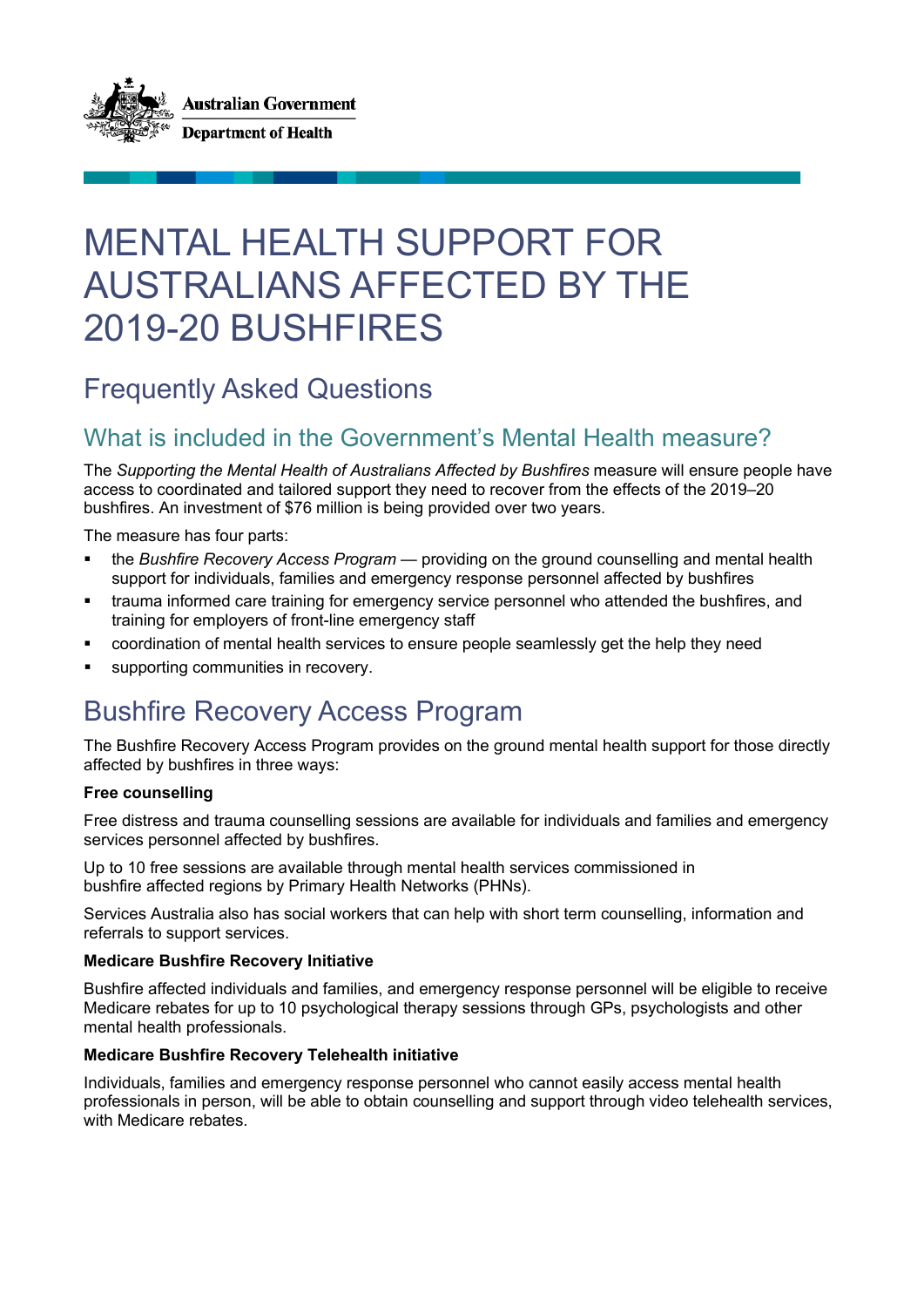

# MENTAL HEALTH SUPPORT FOR AUSTRALIANS AFFECTED BY THE 2019-20 BUSHFIRES

# Frequently Asked Questions

#### What is included in the Government's Mental Health measure?

The *Supporting the Mental Health of Australians Affected by Bushfires* measure will ensure people have access to coordinated and tailored support they need to recover from the effects of the 2019–20 bushfires. An investment of \$76 million is being provided over two years.

The measure has four parts:

- the *Bushfire Recovery Access Program* providing on the ground counselling and mental health support for individuals, families and emergency response personnel affected by bushfires
- trauma informed care training for emergency service personnel who attended the bushfires, and training for employers of front-line emergency staff
- coordination of mental health services to ensure people seamlessly get the help they need
- supporting communities in recovery.

# Bushfire Recovery Access Program

The Bushfire Recovery Access Program provides on the ground mental health support for those directly affected by bushfires in three ways:

#### **Free counselling**

Free distress and trauma counselling sessions are available for individuals and families and emergency services personnel affected by bushfires.

Up to 10 free sessions are available through mental health services commissioned in bushfire affected regions by Primary Health Networks (PHNs).

Services Australia also has social workers that can help with short term counselling, information and referrals to support services.

#### **Medicare Bushfire Recovery Initiative**

Bushfire affected individuals and families, and emergency response personnel will be eligible to receive Medicare rebates for up to 10 psychological therapy sessions through GPs, psychologists and other mental health professionals.

#### **Medicare Bushfire Recovery Telehealth initiative**

Individuals, families and emergency response personnel who cannot easily access mental health professionals in person, will be able to obtain counselling and support through video telehealth services, with Medicare rebates.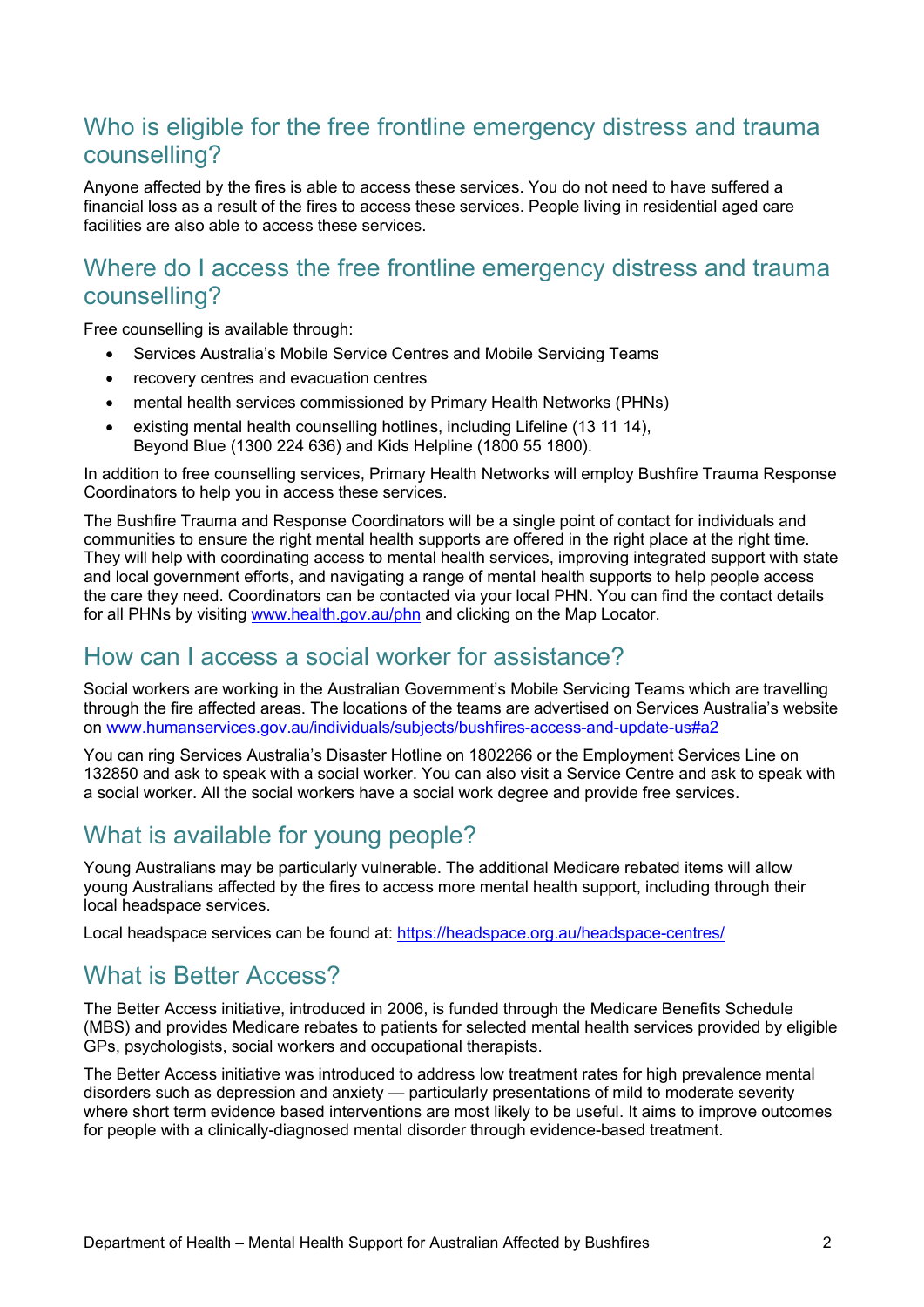### Who is eligible for the free frontline emergency distress and trauma counselling?

Anyone affected by the fires is able to access these services. You do not need to have suffered a financial loss as a result of the fires to access these services. People living in residential aged care facilities are also able to access these services.

### Where do I access the free frontline emergency distress and trauma counselling?

Free counselling is available through:

- Services Australia's Mobile Service Centres and Mobile Servicing Teams
- recovery centres and evacuation centres
- mental health services commissioned by Primary Health Networks (PHNs)
- existing mental health counselling hotlines, including Lifeline (13 11 14), Beyond Blue (1300 224 636) and Kids Helpline (1800 55 1800).

In addition to free counselling services, Primary Health Networks will employ Bushfire Trauma Response Coordinators to help you in access these services.

The Bushfire Trauma and Response Coordinators will be a single point of contact for individuals and communities to ensure the right mental health supports are offered in the right place at the right time. They will help with coordinating access to mental health services, improving integrated support with state and local government efforts, and navigating a range of mental health supports to help people access the care they need. Coordinators can be contacted via your local PHN. You can find the contact details for all PHNs by visiting [www.health.gov.au/phn](http://www.health.gov.au/phn) and clicking on the Map Locator.

#### How can I access a social worker for assistance?

Social workers are working in the Australian Government's Mobile Servicing Teams which are travelling through the fire affected areas. The locations of the teams are advertised on Services Australia's website on [www.humanservices.gov.au/individuals/subjects/bushfires-access-and-update-us#a2](http://www.humanservices.gov.au/individuals/subjects/bushfires-access-and-update-us#a2)

You can ring Services Australia's Disaster Hotline on 1802266 or the Employment Services Line on 132850 and ask to speak with a social worker. You can also visit a Service Centre and ask to speak with a social worker. All the social workers have a social work degree and provide free services.

### What is available for young people?

Young Australians may be particularly vulnerable. The additional Medicare rebated items will allow young Australians affected by the fires to access more mental health support, including through their local headspace services.

Local headspace services can be found at: [https://headspace.org.au/headspace-centres/](https://headspace.org.au/headspace-centres/#_blank)

#### What is Better Access?

The Better Access initiative, introduced in 2006, is funded through the Medicare Benefits Schedule (MBS) and provides Medicare rebates to patients for selected mental health services provided by eligible GPs, psychologists, social workers and occupational therapists.

The Better Access initiative was introduced to address low treatment rates for high prevalence mental disorders such as depression and anxiety — particularly presentations of mild to moderate severity where short term evidence based interventions are most likely to be useful. It aims to improve outcomes for people with a clinically-diagnosed mental disorder through evidence-based treatment.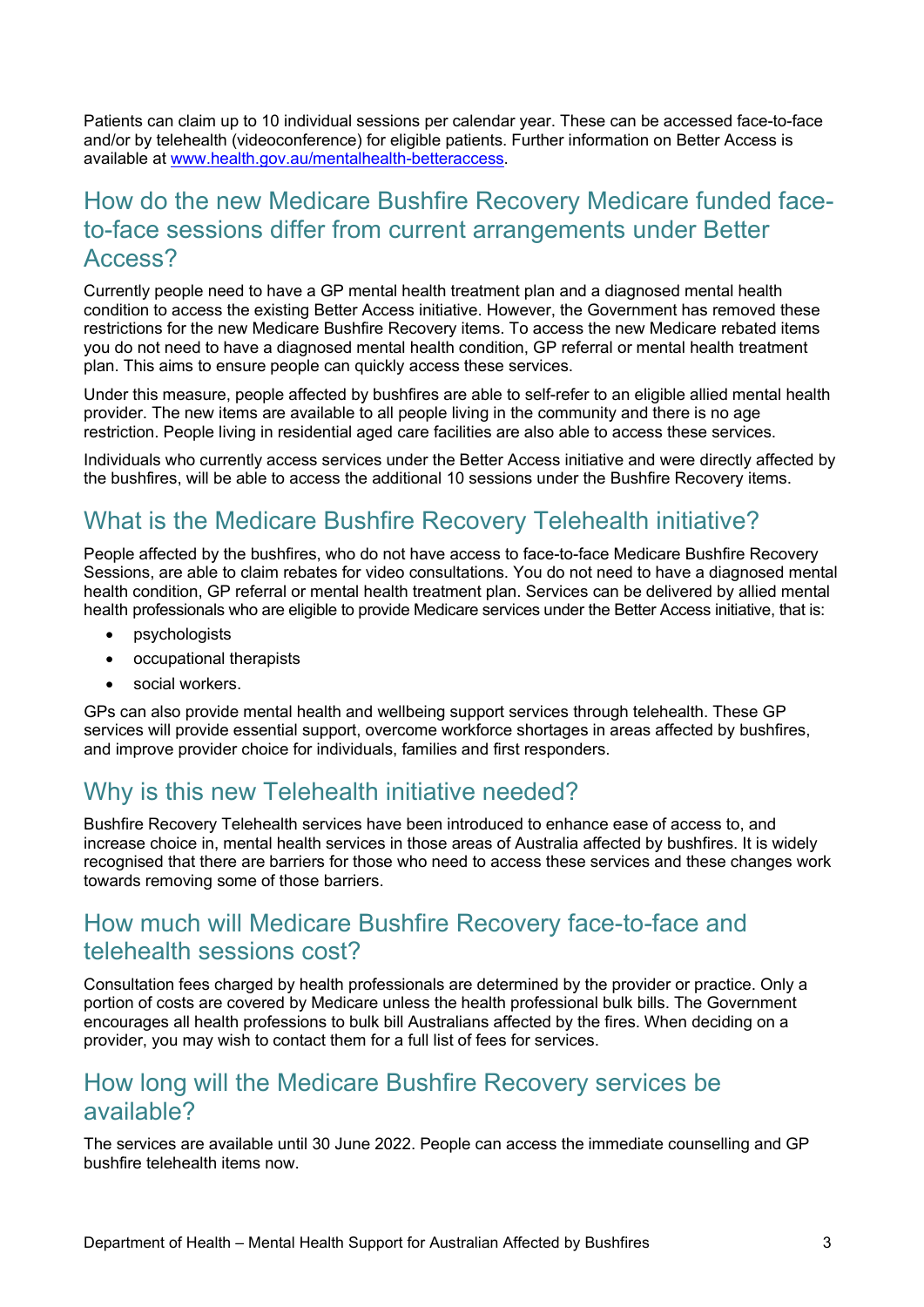Patients can claim up to 10 individual sessions per calendar year. These can be accessed face-to-face and/or by telehealth (videoconference) for eligible patients. Further information on Better Access is available at [www.health.gov.au/mentalhealth-betteraccess.](http://www.health.gov.au/mentalhealth-betteraccess)

#### How do the new Medicare Bushfire Recovery Medicare funded faceto-face sessions differ from current arrangements under Better Access?

Currently people need to have a GP mental health treatment plan and a diagnosed mental health condition to access the existing Better Access initiative. However, the Government has removed these restrictions for the new Medicare Bushfire Recovery items. To access the new Medicare rebated items you do not need to have a diagnosed mental health condition, GP referral or mental health treatment plan. This aims to ensure people can quickly access these services.

Under this measure, people affected by bushfires are able to self-refer to an eligible allied mental health provider. The new items are available to all people living in the community and there is no age restriction. People living in residential aged care facilities are also able to access these services.

Individuals who currently access services under the Better Access initiative and were directly affected by the bushfires, will be able to access the additional 10 sessions under the Bushfire Recovery items.

### What is the Medicare Bushfire Recovery Telehealth initiative?

People affected by the bushfires, who do not have access to face-to-face Medicare Bushfire Recovery Sessions, are able to claim rebates for video consultations. You do not need to have a diagnosed mental health condition, GP referral or mental health treatment plan. Services can be delivered by allied mental health professionals who are eligible to provide Medicare services under the Better Access initiative, that is:

- psychologists
- occupational therapists
- social workers.

GPs can also provide mental health and wellbeing support services through telehealth. These GP services will provide essential support, overcome workforce shortages in areas affected by bushfires, and improve provider choice for individuals, families and first responders.

#### Why is this new Telehealth initiative needed?

Bushfire Recovery Telehealth services have been introduced to enhance ease of access to, and increase choice in, mental health services in those areas of Australia affected by bushfires. It is widely recognised that there are barriers for those who need to access these services and these changes work towards removing some of those barriers.

#### How much will Medicare Bushfire Recovery face-to-face and telehealth sessions cost?

Consultation fees charged by health professionals are determined by the provider or practice. Only a portion of costs are covered by Medicare unless the health professional bulk bills. The Government encourages all health professions to bulk bill Australians affected by the fires. When deciding on a provider, you may wish to contact them for a full list of fees for services.

#### How long will the Medicare Bushfire Recovery services be available?

The services are available until 30 June 2022. People can access the immediate counselling and GP bushfire telehealth items now.